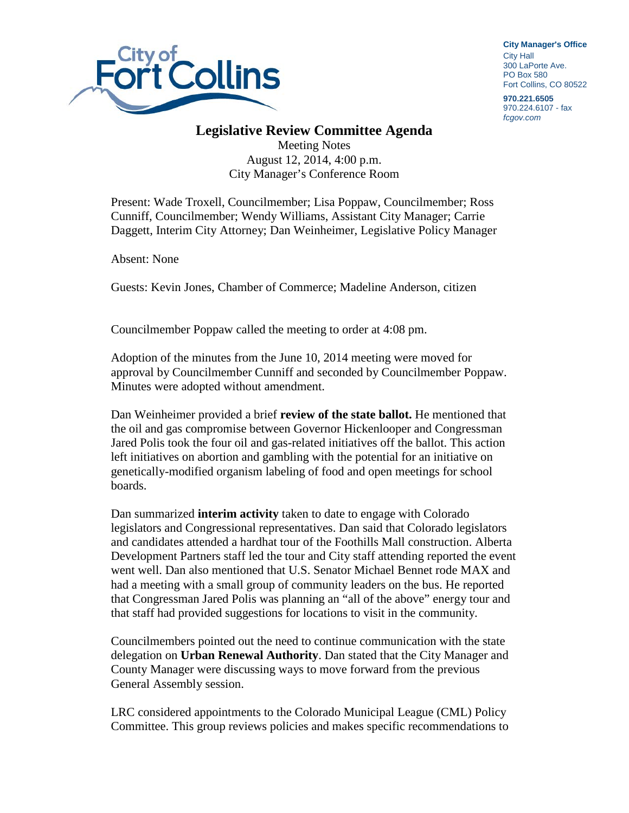

**City Manager**'**s Office** City Hall 300 LaPorte Ave. PO Box 580 Fort Collins, CO 80522

**970.221.6505** 970.224.6107 - fax *fcgov.com*

## **Legislative Review Committee Agenda**

Meeting Notes August 12, 2014, 4:00 p.m. City Manager's Conference Room

Present: Wade Troxell, Councilmember; Lisa Poppaw, Councilmember; Ross Cunniff, Councilmember; Wendy Williams, Assistant City Manager; Carrie Daggett, Interim City Attorney; Dan Weinheimer, Legislative Policy Manager

Absent: None

Guests: Kevin Jones, Chamber of Commerce; Madeline Anderson, citizen

Councilmember Poppaw called the meeting to order at 4:08 pm.

Adoption of the minutes from the June 10, 2014 meeting were moved for approval by Councilmember Cunniff and seconded by Councilmember Poppaw. Minutes were adopted without amendment.

Dan Weinheimer provided a brief **review of the state ballot.** He mentioned that the oil and gas compromise between Governor Hickenlooper and Congressman Jared Polis took the four oil and gas-related initiatives off the ballot. This action left initiatives on abortion and gambling with the potential for an initiative on genetically-modified organism labeling of food and open meetings for school boards.

Dan summarized **interim activity** taken to date to engage with Colorado legislators and Congressional representatives. Dan said that Colorado legislators and candidates attended a hardhat tour of the Foothills Mall construction. Alberta Development Partners staff led the tour and City staff attending reported the event went well. Dan also mentioned that U.S. Senator Michael Bennet rode MAX and had a meeting with a small group of community leaders on the bus. He reported that Congressman Jared Polis was planning an "all of the above" energy tour and that staff had provided suggestions for locations to visit in the community.

Councilmembers pointed out the need to continue communication with the state delegation on **Urban Renewal Authority**. Dan stated that the City Manager and County Manager were discussing ways to move forward from the previous General Assembly session.

LRC considered appointments to the Colorado Municipal League (CML) Policy Committee. This group reviews policies and makes specific recommendations to